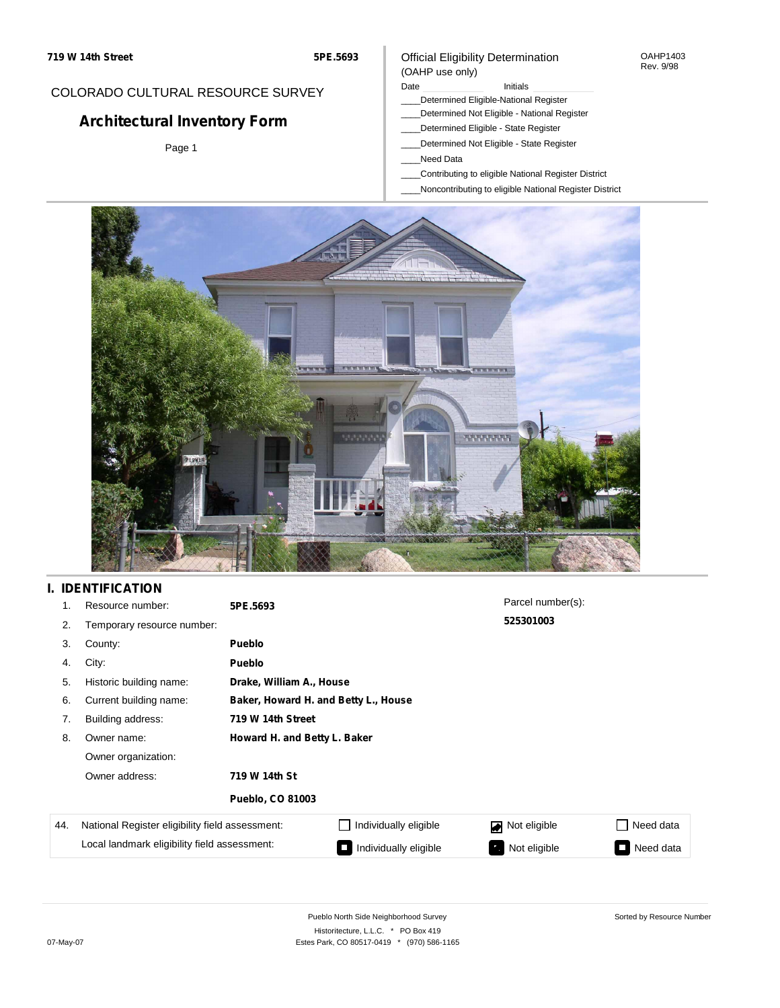#### OAHP1403 Rev. 9/98

### COLORADO CULTURAL RESOURCE SURVEY

# **Architectural Inventory Form**

Page 1

#### (OAHP use only) Date **Initials** Initials

\_\_\_\_Determined Eligible-National Register

Official Eligibility Determination

- \_\_\_\_Determined Not Eligible National Register
- \_\_\_\_Determined Eligible State Register
- \_\_\_\_Determined Not Eligible State Register
- \_\_\_\_Need Data
- \_\_\_\_Contributing to eligible National Register District
- \_\_\_\_Noncontributing to eligible National Register District



## **I. IDENTIFICATION**

| 1.  | Resource number:                                | 5PE.5693                     |                                      | Parcel number(s): |                     |  |  |  |
|-----|-------------------------------------------------|------------------------------|--------------------------------------|-------------------|---------------------|--|--|--|
| 2.  | Temporary resource number:                      |                              |                                      | 525301003         |                     |  |  |  |
| 3.  | County:                                         | <b>Pueblo</b>                |                                      |                   |                     |  |  |  |
| 4.  | City:                                           | <b>Pueblo</b>                |                                      |                   |                     |  |  |  |
| 5.  | Historic building name:                         |                              | Drake, William A., House             |                   |                     |  |  |  |
| 6.  | Current building name:                          |                              | Baker, Howard H. and Betty L., House |                   |                     |  |  |  |
| 7.  | Building address:                               | 719 W 14th Street            |                                      |                   |                     |  |  |  |
| 8.  | Owner name:                                     | Howard H. and Betty L. Baker |                                      |                   |                     |  |  |  |
|     | Owner organization:                             |                              |                                      |                   |                     |  |  |  |
|     | Owner address:                                  | 719 W 14th St                |                                      |                   |                     |  |  |  |
|     |                                                 | <b>Pueblo, CO 81003</b>      |                                      |                   |                     |  |  |  |
| 44. | National Register eligibility field assessment: |                              | Individually eligible                | Not eligible<br>◪ | Need data           |  |  |  |
|     | Local landmark eligibility field assessment:    |                              | Individually eligible                | Not eligible      | Need data<br>$\sim$ |  |  |  |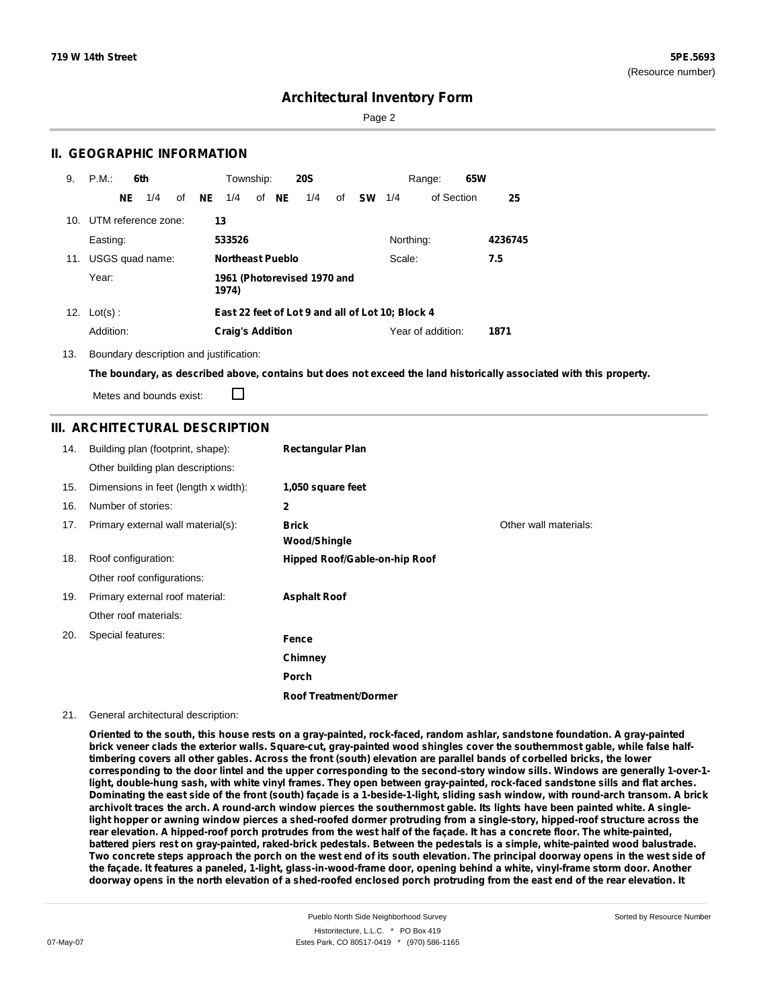Page 2

### **II. GEOGRAPHIC INFORMATION**

| 9.  | P.M.                |     | 6th             |    |    | Township:               |       | <b>20S</b>                  |    |           |                                                  | Range:            | 65W |         |
|-----|---------------------|-----|-----------------|----|----|-------------------------|-------|-----------------------------|----|-----------|--------------------------------------------------|-------------------|-----|---------|
|     |                     | NE. | 1/4             | of | NE | 1/4                     | of NE | 1/4                         | of | <b>SW</b> | 1/4                                              | of Section        |     | 25      |
| 10. | UTM reference zone: |     |                 |    | 13 |                         |       |                             |    |           |                                                  |                   |     |         |
|     | Easting:            |     |                 |    |    | 533526                  |       |                             |    |           | Northing:                                        |                   |     | 4236745 |
| 11. |                     |     | USGS quad name: |    |    | <b>Northeast Pueblo</b> |       |                             |    |           | Scale:                                           |                   |     | 7.5     |
|     | Year:               |     |                 |    |    | 1974)                   |       | 1961 (Photorevised 1970 and |    |           |                                                  |                   |     |         |
|     | 12. $Lot(s)$ :      |     |                 |    |    |                         |       |                             |    |           | East 22 feet of Lot 9 and all of Lot 10; Block 4 |                   |     |         |
|     | Addition:           |     |                 |    |    | <b>Craig's Addition</b> |       |                             |    |           |                                                  | Year of addition: |     | 1871    |

13. Boundary description and justification:

The boundary, as described above, contains but does not exceed the land historically associated with this property.

Metes and bounds exist:

П

#### **III. ARCHITECTURAL DESCRIPTION**

| 14. | Building plan (footprint, shape):    | <b>Rectangular Plan</b>       |                       |
|-----|--------------------------------------|-------------------------------|-----------------------|
|     | Other building plan descriptions:    |                               |                       |
| 15. | Dimensions in feet (length x width): | 1,050 square feet             |                       |
| 16. | Number of stories:                   | 2                             |                       |
| 17. | Primary external wall material(s):   | <b>Brick</b>                  | Other wall materials: |
|     |                                      | <b>Wood/Shingle</b>           |                       |
| 18. | Roof configuration:                  | Hipped Roof/Gable-on-hip Roof |                       |
|     | Other roof configurations:           |                               |                       |
| 19. | Primary external roof material:      | <b>Asphalt Roof</b>           |                       |
|     | Other roof materials:                |                               |                       |
| 20. | Special features:                    | Fence                         |                       |
|     |                                      | Chimney                       |                       |
|     |                                      | Porch                         |                       |
|     |                                      | <b>Roof Treatment/Dormer</b>  |                       |

#### 21. General architectural description:

Oriented to the south, this house rests on a gray-painted, rock-faced, random ashlar, sandstone foundation. A gray-painted brick veneer clads the exterior walls. Square-cut, gray-painted wood shingles cover the southernmost gable, while false halftimbering covers all other gables. Across the front (south) elevation are parallel bands of corbelled bricks, the lower corresponding to the door lintel and the upper corresponding to the second-story window sills. Windows are generally 1-over-1light, double-hung sash, with white vinyl frames. They open between gray-painted, rock-faced sandstone sills and flat arches. Dominating the east side of the front (south) façade is a 1-beside-1-light, sliding sash window, with round-arch transom. A brick archivolt traces the arch. A round-arch window pierces the southernmost gable. Its lights have been painted white. A singlelight hopper or awning window pierces a shed-roofed dormer protruding from a single-story, hipped-roof structure across the rear elevation. A hipped-roof porch protrudes from the west half of the facade. It has a concrete floor. The white-painted, battered piers rest on gray-painted, raked-brick pedestals. Between the pedestals is a simple, white-painted wood balustrade. Two concrete steps approach the porch on the west end of its south elevation. The principal doorway opens in the west side of the façade. It features a paneled, 1-light, glass-in-wood-frame door, opening behind a white, vinyl-frame storm door. Another doorway opens in the north elevation of a shed-roofed enclosed porch protruding from the east end of the rear elevation. It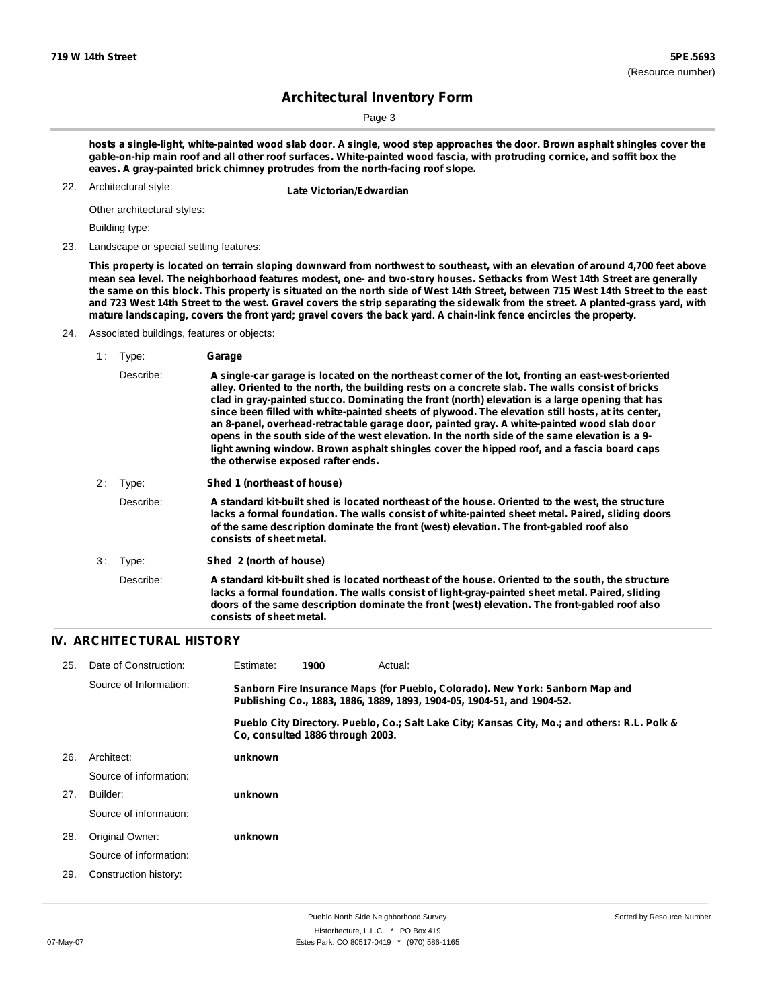Page 3

hosts a single-light, white-painted wood slab door. A single, wood step approaches the door. Brown asphalt shingles cover the gable-on-hip main roof and all other roof surfaces. White-painted wood fascia, with protruding cornice, and soffit box the **eaves. A gray-painted brick chimney protrudes from the north-facing roof slope.**

22. Architectural style:

**Late Victorian/Edwardian** 

Other architectural styles:

Building type:

23. Landscape or special setting features:

This property is located on terrain sloping downward from northwest to southeast, with an elevation of around 4,700 feet above mean sea level. The neighborhood features modest, one- and two-story houses. Setbacks from West 14th Street are generally the same on this block. This property is situated on the north side of West 14th Street, between 715 West 14th Street to the east and 723 West 14th Street to the west. Gravel covers the strip separating the sidewalk from the street. A planted-grass yard, with mature landscaping, covers the front yard; gravel covers the back yard. A chain-link fence encircles the property.

#### 24. Associated buildings, features or objects:

1 : Type: **Garage** Describe: **A single-car garage is located on the northeast corner of the lot, fronting an east-west-oriented alley. Oriented to the north, the building rests on a concrete slab. The walls consist of bricks clad in gray-painted stucco. Dominating the front (north) elevation is a large opening that has since been filled with white-painted sheets of plywood. The elevation still hosts, at its center, an 8-panel, overhead-retractable garage door, painted gray. A white-painted wood slab door** opens in the south side of the west elevation. In the north side of the same elevation is a 9**light awning window. Brown asphalt shingles cover the hipped roof, and a fascia board caps the otherwise exposed rafter ends.** 2 : Type: **Shed 1 (northeast of house)** Describe: **A standard kit-built shed is located northeast of the house. Oriented to the west, the structure lacks a formal foundation. The walls consist of white-painted sheet metal. Paired, sliding doors of the same description dominate the front (west) elevation. The front-gabled roof also consists of sheet metal.** 3 : Type: **Shed 2 (north of house)** Describe: **A standard kit-built shed is located northeast of the house. Oriented to the south, the structure lacks a formal foundation. The walls consist of light-gray-painted sheet metal. Paired, sliding doors of the same description dominate the front (west) elevation. The front-gabled roof also consists of sheet metal.**

#### **IV. ARCHITECTURAL HISTORY**

| 25. | Date of Construction:  | Estimate:                                                                                                                                               | 1900                             | Actual: |                                                                                               |  |  |
|-----|------------------------|---------------------------------------------------------------------------------------------------------------------------------------------------------|----------------------------------|---------|-----------------------------------------------------------------------------------------------|--|--|
|     | Source of Information: | Sanborn Fire Insurance Maps (for Pueblo, Colorado). New York: Sanborn Map and<br>Publishing Co., 1883, 1886, 1889, 1893, 1904-05, 1904-51, and 1904-52. |                                  |         |                                                                                               |  |  |
|     |                        |                                                                                                                                                         | Co. consulted 1886 through 2003. |         | Pueblo City Directory. Pueblo, Co.; Salt Lake City; Kansas City, Mo.; and others: R.L. Polk & |  |  |
| 26. | Architect:             | unknown                                                                                                                                                 |                                  |         |                                                                                               |  |  |
|     | Source of information: |                                                                                                                                                         |                                  |         |                                                                                               |  |  |
| 27. | Builder:               | unknown                                                                                                                                                 |                                  |         |                                                                                               |  |  |
|     | Source of information: |                                                                                                                                                         |                                  |         |                                                                                               |  |  |
| 28. | Original Owner:        | unknown                                                                                                                                                 |                                  |         |                                                                                               |  |  |
|     | Source of information: |                                                                                                                                                         |                                  |         |                                                                                               |  |  |
| 29. | Construction history:  |                                                                                                                                                         |                                  |         |                                                                                               |  |  |
|     |                        |                                                                                                                                                         |                                  |         |                                                                                               |  |  |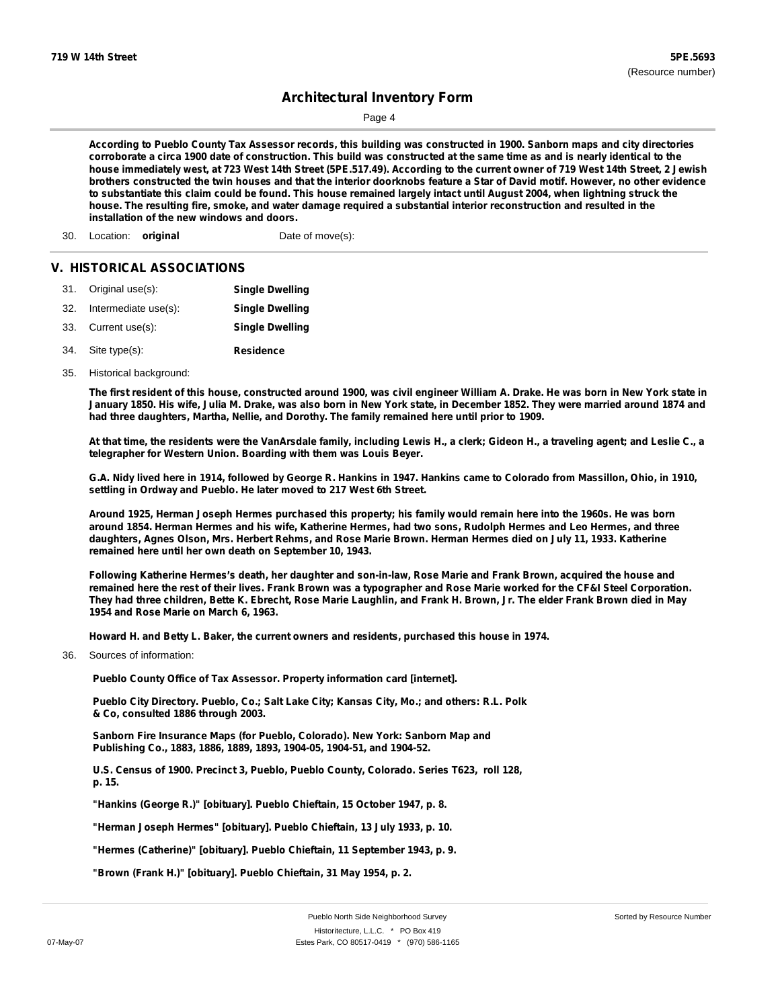Page 4

According to Pueblo County Tax Assessor records, this building was constructed in 1900. Sanborn maps and city directories corroborate a circa 1900 date of construction. This build was constructed at the same time as and is nearly identical to the house immediately west, at 723 West 14th Street (5PE.517.49). According to the current owner of 719 West 14th Street, 2 Jewish brothers constructed the twin houses and that the interior doorknobs feature a Star of David motif. However, no other evidence to substantiate this claim could be found. This house remained largely intact until August 2004, when lightning struck the house. The resulting fire, smoke, and water damage reguired a substantial interior reconstruction and resulted in the **installation of the new windows and doors.**

30. Location: **original** Date of move(s):

#### **V. HISTORICAL ASSOCIATIONS**

|     | 31. Original use(s): | <b>Single Dwelling</b> |
|-----|----------------------|------------------------|
| 32. | Intermediate use(s): | <b>Single Dwelling</b> |
|     | 33. Current use(s):  | <b>Single Dwelling</b> |
|     | 34. Site type(s):    | <b>Residence</b>       |

35. Historical background:

The first resident of this house, constructed around 1900, was civil engineer William A. Drake. He was born in New York state in January 1850. His wife, Julia M. Drake, was also born in New York state, in December 1852. They were married around 1874 and **had three daughters, Martha, Nellie, and Dorothy. The family remained here until prior to 1909.**

At that time, the residents were the VanArsdale family, including Lewis H., a clerk; Gideon H., a traveling agent; and Leslie C., a **telegrapher for Western Union. Boarding with them was Louis Beyer.**

G.A. Nidy lived here in 1914, followed by George R. Hankins in 1947. Hankins came to Colorado from Massillon, Ohio, in 1910, **settling in Ordway and Pueblo. He later moved to 217 West 6th Street.**

Around 1925, Herman Joseph Hermes purchased this property; his family would remain here into the 1960s. He was born around 1854. Herman Hermes and his wife, Katherine Hermes, had two sons, Rudolph Hermes and Leo Hermes, and three daughters, Agnes Olson, Mrs. Herbert Rehms, and Rose Marie Brown. Herman Hermes died on July 11, 1933. Katherine **remained here until her own death on September 10, 1943.**

Following Katherine Hermes's death, her daughter and son-in-law, Rose Marie and Frank Brown, acquired the house and remained here the rest of their lives. Frank Brown was a typographer and Rose Marie worked for the CF&I Steel Corporation. They had three children, Bette K. Ebrecht, Rose Marie Laughlin, and Frank H. Brown, Jr. The elder Frank Brown died in May **1954 and Rose Marie on March 6, 1963.**

**Howard H. and Betty L. Baker, the current owners and residents, purchased this house in 1974.**

Sources of information: 36.

**Pueblo County Office of Tax Assessor. Property information card [internet].**

**Pueblo City Directory. Pueblo, Co.; Salt Lake City; Kansas City, Mo.; and others: R.L. Polk & Co, consulted 1886 through 2003.**

**Sanborn Fire Insurance Maps (for Pueblo, Colorado). New York: Sanborn Map and Publishing Co., 1883, 1886, 1889, 1893, 1904-05, 1904-51, and 1904-52.**

**U.S. Census of 1900. Precinct 3, Pueblo, Pueblo County, Colorado. Series T623, roll 128, p. 15.**

**"Hankins (George R.)" [obituary]. Pueblo Chieftain, 15 October 1947, p. 8.**

**"Herman Joseph Hermes" [obituary]. Pueblo Chieftain, 13 July 1933, p. 10.**

**"Hermes (Catherine)" [obituary]. Pueblo Chieftain, 11 September 1943, p. 9.**

**"Brown (Frank H.)" [obituary]. Pueblo Chieftain, 31 May 1954, p. 2.**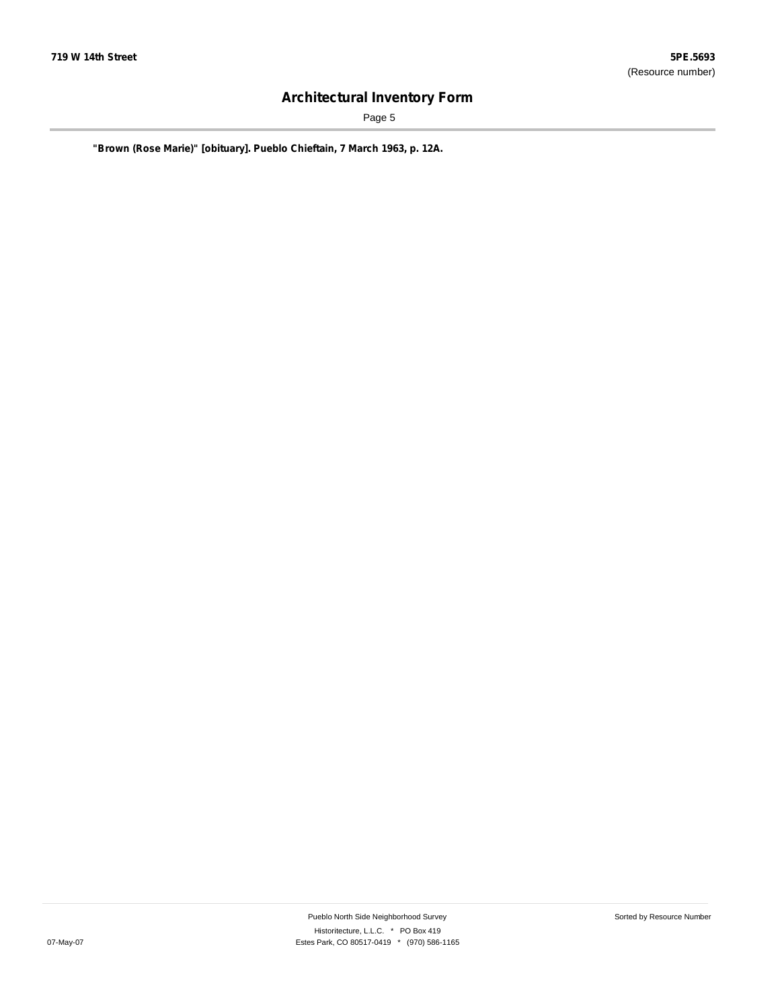Page 5

**"Brown (Rose Marie)" [obituary]. Pueblo Chieftain, 7 March 1963, p. 12A.**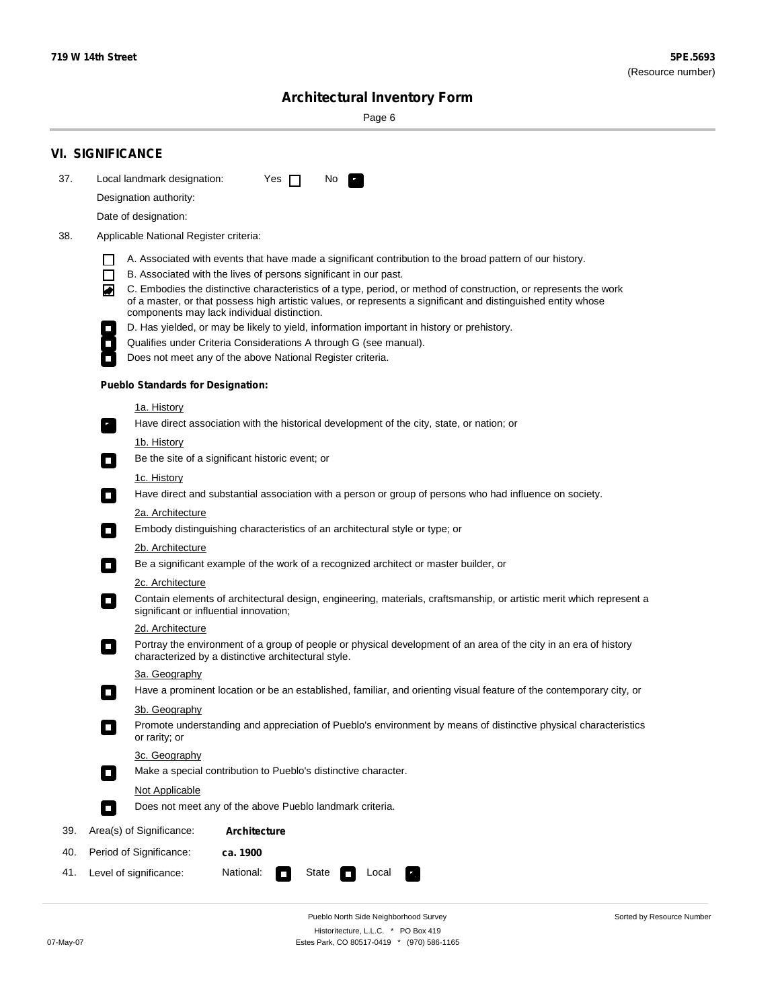÷

Sorted by Resource Number

# **Architectural Inventory Form**

Page 6

|     | <b>VI. SIGNIFICANCE</b>                                                                                                                                                                                                                                                                                                                                                                                                                                                                                                                                                                                                                                                                                               |
|-----|-----------------------------------------------------------------------------------------------------------------------------------------------------------------------------------------------------------------------------------------------------------------------------------------------------------------------------------------------------------------------------------------------------------------------------------------------------------------------------------------------------------------------------------------------------------------------------------------------------------------------------------------------------------------------------------------------------------------------|
| 37. | Local landmark designation:<br>Yes $\Box$<br>No.<br>$\overline{\phantom{a}}$ .                                                                                                                                                                                                                                                                                                                                                                                                                                                                                                                                                                                                                                        |
|     | Designation authority:                                                                                                                                                                                                                                                                                                                                                                                                                                                                                                                                                                                                                                                                                                |
|     | Date of designation:                                                                                                                                                                                                                                                                                                                                                                                                                                                                                                                                                                                                                                                                                                  |
| 38. | Applicable National Register criteria:                                                                                                                                                                                                                                                                                                                                                                                                                                                                                                                                                                                                                                                                                |
|     | A. Associated with events that have made a significant contribution to the broad pattern of our history.<br>H<br>B. Associated with the lives of persons significant in our past.<br>$\Box$<br>C. Embodies the distinctive characteristics of a type, period, or method of construction, or represents the work<br>◪<br>of a master, or that possess high artistic values, or represents a significant and distinguished entity whose<br>components may lack individual distinction.<br>D. Has yielded, or may be likely to yield, information important in history or prehistory.<br>Qualifies under Criteria Considerations A through G (see manual).<br>Does not meet any of the above National Register criteria. |
|     | <b>Pueblo Standards for Designation:</b>                                                                                                                                                                                                                                                                                                                                                                                                                                                                                                                                                                                                                                                                              |
|     | <u>1a. History</u><br>Have direct association with the historical development of the city, state, or nation; or<br>$\overline{\phantom{a}}$ .                                                                                                                                                                                                                                                                                                                                                                                                                                                                                                                                                                         |
|     | 1b. History<br>Be the site of a significant historic event; or<br>$\mathcal{L}_{\mathcal{A}}$                                                                                                                                                                                                                                                                                                                                                                                                                                                                                                                                                                                                                         |
|     | 1c. History<br>Have direct and substantial association with a person or group of persons who had influence on society.<br>о                                                                                                                                                                                                                                                                                                                                                                                                                                                                                                                                                                                           |
|     | 2a. Architecture<br>Embody distinguishing characteristics of an architectural style or type; or<br>$\mathcal{L}_{\mathcal{A}}$                                                                                                                                                                                                                                                                                                                                                                                                                                                                                                                                                                                        |
|     | 2b. Architecture                                                                                                                                                                                                                                                                                                                                                                                                                                                                                                                                                                                                                                                                                                      |
|     | Be a significant example of the work of a recognized architect or master builder, or<br>$\mathcal{L}_{\mathcal{A}}$                                                                                                                                                                                                                                                                                                                                                                                                                                                                                                                                                                                                   |
|     | 2c. Architecture<br>Contain elements of architectural design, engineering, materials, craftsmanship, or artistic merit which represent a<br>О<br>significant or influential innovation;                                                                                                                                                                                                                                                                                                                                                                                                                                                                                                                               |
|     | 2d. Architecture                                                                                                                                                                                                                                                                                                                                                                                                                                                                                                                                                                                                                                                                                                      |
|     | Portray the environment of a group of people or physical development of an area of the city in an era of history<br>О<br>characterized by a distinctive architectural style.                                                                                                                                                                                                                                                                                                                                                                                                                                                                                                                                          |
|     | 3a. Geography                                                                                                                                                                                                                                                                                                                                                                                                                                                                                                                                                                                                                                                                                                         |
|     | Have a prominent location or be an established, familiar, and orienting visual feature of the contemporary city, or<br>П                                                                                                                                                                                                                                                                                                                                                                                                                                                                                                                                                                                              |
|     | 3b. Geography<br>Promote understanding and appreciation of Pueblo's environment by means of distinctive physical characteristics<br>or rarity; or                                                                                                                                                                                                                                                                                                                                                                                                                                                                                                                                                                     |
|     | 3c. Geography<br>Make a special contribution to Pueblo's distinctive character.<br>$\mathcal{L}_{\mathcal{A}}$                                                                                                                                                                                                                                                                                                                                                                                                                                                                                                                                                                                                        |
|     | Not Applicable                                                                                                                                                                                                                                                                                                                                                                                                                                                                                                                                                                                                                                                                                                        |
|     | Does not meet any of the above Pueblo landmark criteria.<br>п                                                                                                                                                                                                                                                                                                                                                                                                                                                                                                                                                                                                                                                         |
| 39. | Area(s) of Significance:<br><b>Architecture</b>                                                                                                                                                                                                                                                                                                                                                                                                                                                                                                                                                                                                                                                                       |
| 40. | Period of Significance:<br>ca. 1900                                                                                                                                                                                                                                                                                                                                                                                                                                                                                                                                                                                                                                                                                   |
| 41. | National:<br>Level of significance:<br>State<br>Local<br>т,<br>$\overline{\phantom{a}}$                                                                                                                                                                                                                                                                                                                                                                                                                                                                                                                                                                                                                               |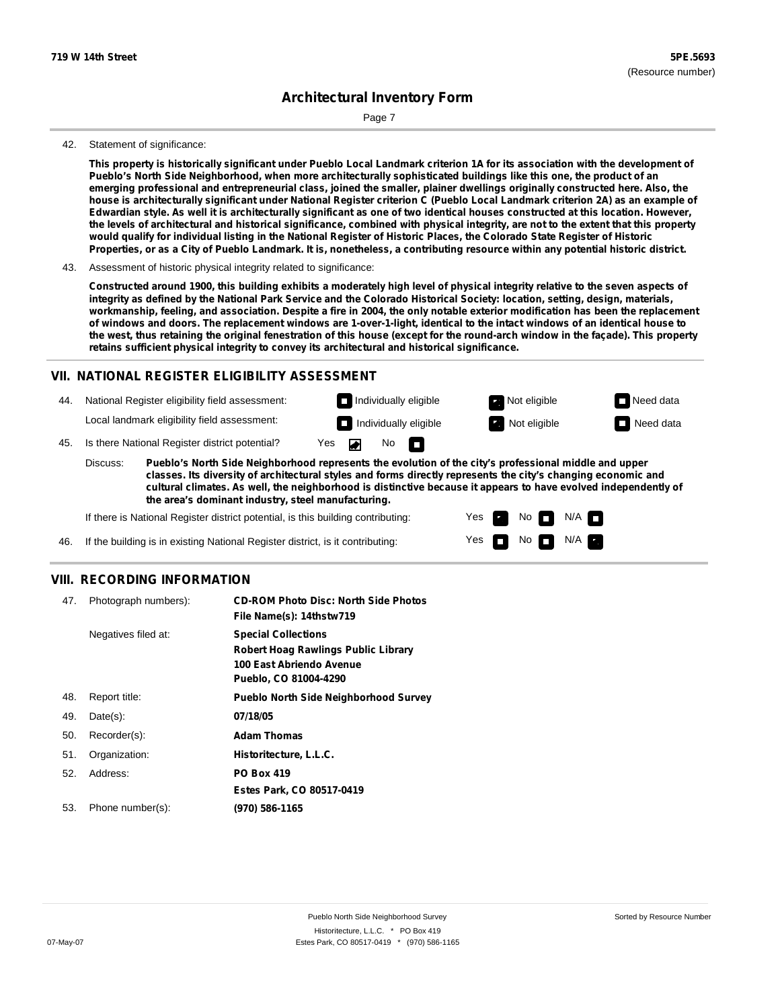Page 7

#### 42. Statement of significance:

This property is historically significant under Pueblo Local Landmark criterion 1A for its association with the development of Pueblo's North Side Neighborhood, when more architecturally sophisticated buildings like this one, the product of an emerging professional and entrepreneurial class, joined the smaller, plainer dwellings originally constructed here. Also, the house is architecturally significant under National Register criterion C (Pueblo Local Landmark criterion 2A) as an example of Edwardian style. As well it is architecturally significant as one of two identical houses constructed at this location. However, the levels of architectural and historical significance, combined with physical integrity, are not to the extent that this property would qualify for individual listing in the National Register of Historic Places, the Colorado State Register of Historic Properties, or as a City of Pueblo Landmark. It is, nonetheless, a contributing resource within any potential historic district.

43. Assessment of historic physical integrity related to significance:

Constructed around 1900, this building exhibits a moderately high level of physical integrity relative to the seven aspects of integrity as defined by the National Park Service and the Colorado Historical Society: location, setting, design, materials, workmanship, feeling, and association. Despite a fire in 2004, the only notable exterior modification has been the replacement of windows and doors. The replacement windows are 1-over-1-light, identical to the intact windows of an identical house to the west, thus retaining the original fenestration of this house (except for the round-arch window in the façade). This property **retains sufficient physical integrity to convey its architectural and historical significance.**

#### **VII. NATIONAL REGISTER ELIGIBILITY ASSESSMENT**

Individually eligible **Not eligible** Not eligible Need data 44. National Register eligibility field assessment: Local landmark eligibility field assessment: **Individually eligible Not eligible** Not eligible **Need data** No<sub>D</sub> ◚ 45. Is there National Register district potential? Yes Discuss: **Pueblo's North Side Neighborhood represents the evolution of the city's professional middle and upper**

**classes. Its diversity of architectural styles and forms directly represents the city's changing economic and cultural climates. As well, the neighborhood is distinctive because it appears to have evolved independently of the area's dominant industry, steel manufacturing.**

> Yes Yes

No

 $N/A$ N/A

If there is National Register district potential, is this building contributing:

If the building is in existing National Register district, is it contributing: 46.

#### **VIII. RECORDING INFORMATION**

| 47. | Photograph numbers): | <b>CD-ROM Photo Disc: North Side Photos</b><br>File Name(s): 14thstw719                                                       |
|-----|----------------------|-------------------------------------------------------------------------------------------------------------------------------|
|     | Negatives filed at:  | <b>Special Collections</b><br><b>Robert Hoag Rawlings Public Library</b><br>100 East Abriendo Avenue<br>Pueblo, CO 81004-4290 |
| 48. | Report title:        | <b>Pueblo North Side Neighborhood Survey</b>                                                                                  |
| 49. | $Date(s)$ :          | 07/18/05                                                                                                                      |
| 50. | Recorder(s):         | <b>Adam Thomas</b>                                                                                                            |
| 51. | Organization:        | Historitecture, L.L.C.                                                                                                        |
| 52. | Address:             | <b>PO Box 419</b>                                                                                                             |
|     |                      | Estes Park, CO 80517-0419                                                                                                     |
| 53. | Phone number(s):     | (970) 586-1165                                                                                                                |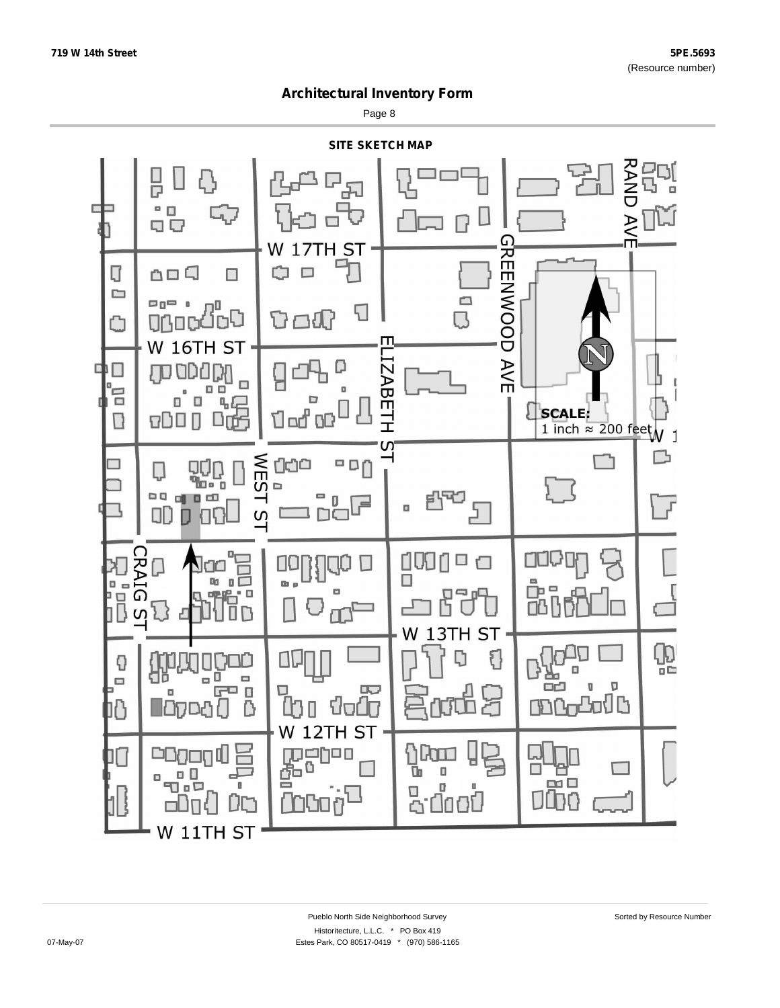Page 8